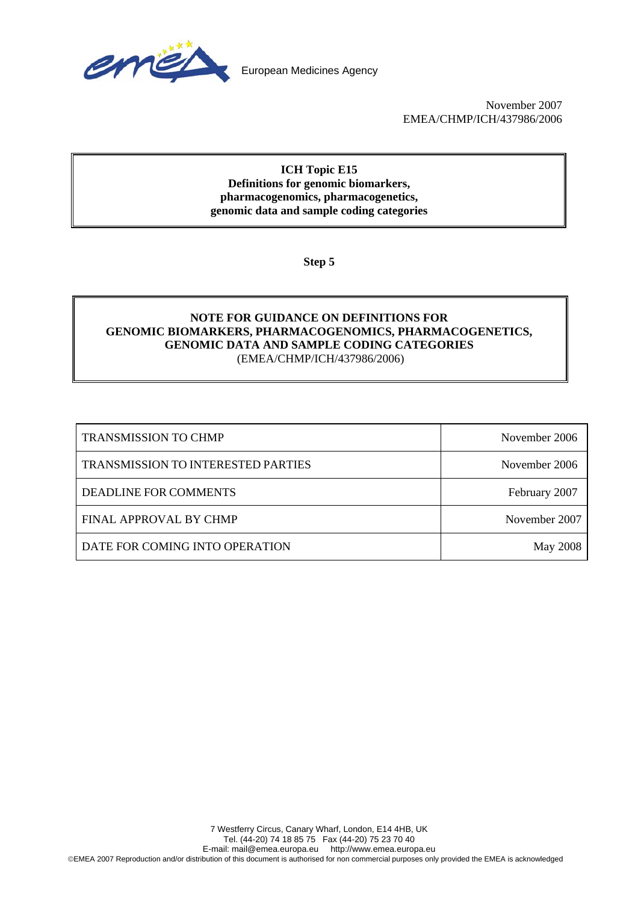

November 2007 EMEA/CHMP/ICH/437986/2006

## **ICH Topic E15 Definitions for genomic biomarkers, pharmacogenomics, pharmacogenetics, genomic data and sample coding categories**

**Step 5** 

## **NOTE FOR GUIDANCE ON DEFINITIONS FOR GENOMIC BIOMARKERS, PHARMACOGENOMICS, PHARMACOGENETICS, GENOMIC DATA AND SAMPLE CODING CATEGORIES**  (EMEA/CHMP/ICH/437986/2006)

| <b>TRANSMISSION TO CHMP</b>        | November 2006   |
|------------------------------------|-----------------|
| TRANSMISSION TO INTERESTED PARTIES | November 2006   |
| DEADLINE FOR COMMENTS              | February 2007   |
| FINAL APPROVAL BY CHMP             | November 2007   |
| DATE FOR COMING INTO OPERATION     | <b>May 2008</b> |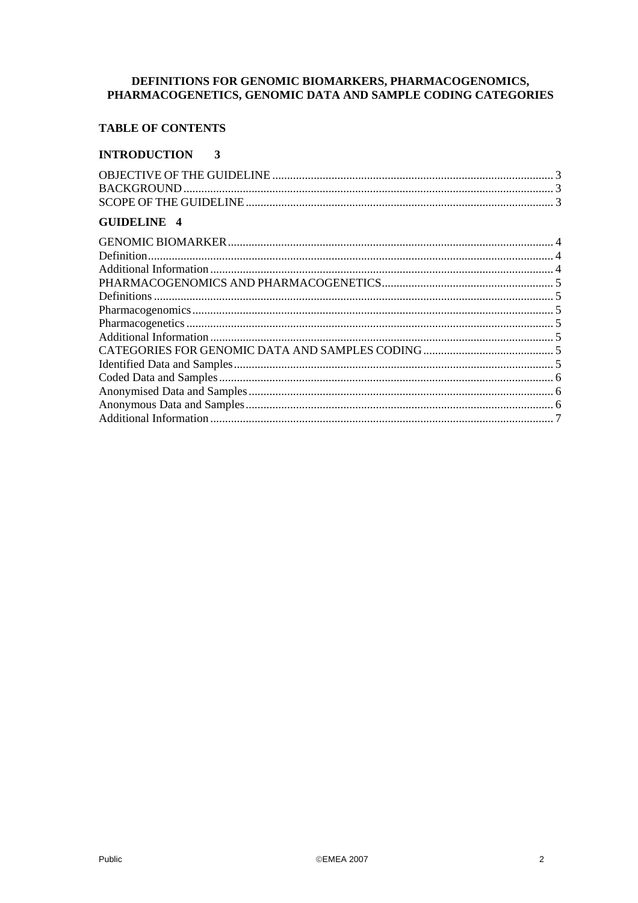# DEFINITIONS FOR GENOMIC BIOMARKERS, PHARMACOGENOMICS, PHARMACOGENETICS, GENOMIC DATA AND SAMPLE CODING CATEGORIES

## **TABLE OF CONTENTS**

#### **INTRODUCTION**  $\mathbf{3}$

| <b>GUIDELINE 4</b> |  |
|--------------------|--|
|                    |  |
|                    |  |
|                    |  |
|                    |  |
|                    |  |
|                    |  |
|                    |  |
|                    |  |
|                    |  |
|                    |  |
|                    |  |
|                    |  |
|                    |  |
|                    |  |
|                    |  |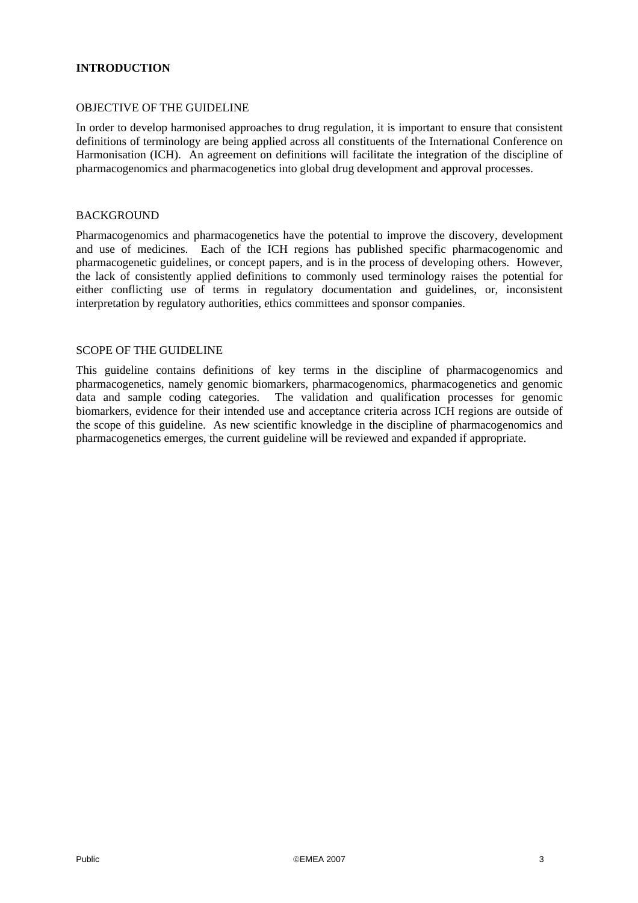## **INTRODUCTION**

#### OBJECTIVE OF THE GUIDELINE

In order to develop harmonised approaches to drug regulation, it is important to ensure that consistent definitions of terminology are being applied across all constituents of the International Conference on Harmonisation (ICH). An agreement on definitions will facilitate the integration of the discipline of pharmacogenomics and pharmacogenetics into global drug development and approval processes.

#### BACKGROUND

Pharmacogenomics and pharmacogenetics have the potential to improve the discovery, development and use of medicines. Each of the ICH regions has published specific pharmacogenomic and pharmacogenetic guidelines, or concept papers, and is in the process of developing others. However, the lack of consistently applied definitions to commonly used terminology raises the potential for either conflicting use of terms in regulatory documentation and guidelines, or, inconsistent interpretation by regulatory authorities, ethics committees and sponsor companies.

#### SCOPE OF THE GUIDELINE

This guideline contains definitions of key terms in the discipline of pharmacogenomics and pharmacogenetics, namely genomic biomarkers, pharmacogenomics, pharmacogenetics and genomic data and sample coding categories. The validation and qualification processes for genomic biomarkers, evidence for their intended use and acceptance criteria across ICH regions are outside of the scope of this guideline. As new scientific knowledge in the discipline of pharmacogenomics and pharmacogenetics emerges, the current guideline will be reviewed and expanded if appropriate.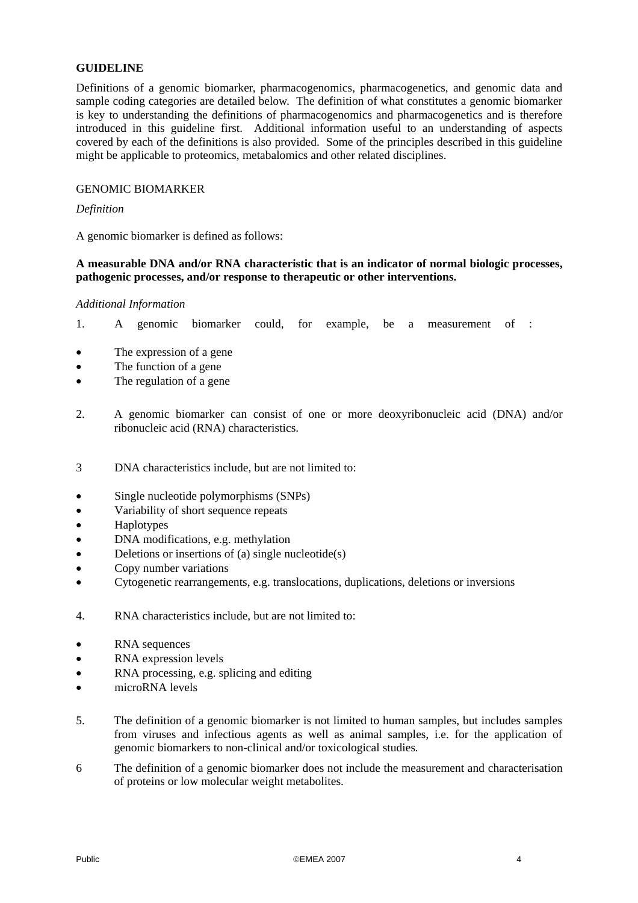#### **GUIDELINE**

Definitions of a genomic biomarker, pharmacogenomics, pharmacogenetics, and genomic data and sample coding categories are detailed below. The definition of what constitutes a genomic biomarker is key to understanding the definitions of pharmacogenomics and pharmacogenetics and is therefore introduced in this guideline first. Additional information useful to an understanding of aspects covered by each of the definitions is also provided. Some of the principles described in this guideline might be applicable to proteomics, metabalomics and other related disciplines.

#### GENOMIC BIOMARKER

#### *Definition*

A genomic biomarker is defined as follows:

#### **A measurable DNA and/or RNA characteristic that is an indicator of normal biologic processes, pathogenic processes, and/or response to therapeutic or other interventions.**

#### *Additional Information*

- 1. A genomic biomarker could, for example, be a measurement of :
- The expression of a gene
- The function of a gene
- The regulation of a gene
- 2. A genomic biomarker can consist of one or more deoxyribonucleic acid (DNA) and/or ribonucleic acid (RNA) characteristics.
- 3 DNA characteristics include, but are not limited to:
- Single nucleotide polymorphisms (SNPs)
- Variability of short sequence repeats
- Haplotypes
- DNA modifications, e.g. methylation
- Deletions or insertions of (a) single nucleotide(s)
- Copy number variations
- Cytogenetic rearrangements, e.g. translocations, duplications, deletions or inversions
- 4. RNA characteristics include, but are not limited to:
- RNA sequences
- RNA expression levels
- RNA processing, e.g. splicing and editing
- microRNA levels
- 5. The definition of a genomic biomarker is not limited to human samples, but includes samples from viruses and infectious agents as well as animal samples, i.e. for the application of genomic biomarkers to non-clinical and/or toxicological studies*.*
- 6 The definition of a genomic biomarker does not include the measurement and characterisation of proteins or low molecular weight metabolites.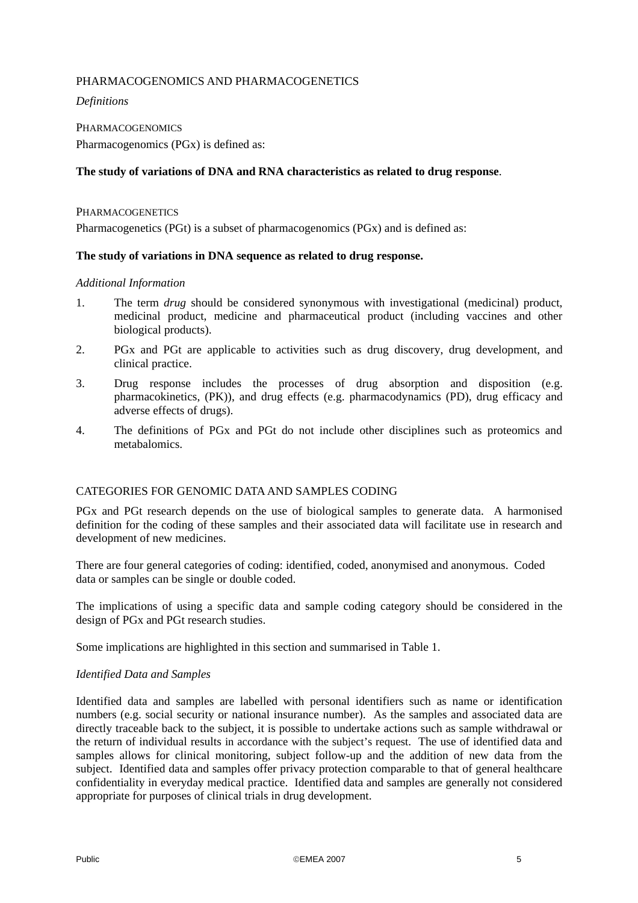## PHARMACOGENOMICS AND PHARMACOGENETICS

*Definitions* 

PHARMACOGENOMICS Pharmacogenomics (PGx) is defined as:

## **The study of variations of DNA and RNA characteristics as related to drug response**.

**PHARMACOGENETICS** 

Pharmacogenetics (PGt) is a subset of pharmacogenomics (PGx) and is defined as:

## **The study of variations in DNA sequence as related to drug response.**

#### *Additional Information*

- 1. The term *drug* should be considered synonymous with investigational (medicinal) product, medicinal product, medicine and pharmaceutical product (including vaccines and other biological products).
- 2. PGx and PGt are applicable to activities such as drug discovery, drug development, and clinical practice.
- 3. Drug response includes the processes of drug absorption and disposition (e.g. pharmacokinetics, (PK)), and drug effects (e.g. pharmacodynamics (PD), drug efficacy and adverse effects of drugs).
- 4. The definitions of PGx and PGt do not include other disciplines such as proteomics and metabalomics.

## CATEGORIES FOR GENOMIC DATA AND SAMPLES CODING

PGx and PGt research depends on the use of biological samples to generate data. A harmonised definition for the coding of these samples and their associated data will facilitate use in research and development of new medicines.

There are four general categories of coding: identified, coded, anonymised and anonymous. Coded data or samples can be single or double coded.

The implications of using a specific data and sample coding category should be considered in the design of PGx and PGt research studies.

Some implications are highlighted in this section and summarised in Table 1.

## *Identified Data and Samples*

Identified data and samples are labelled with personal identifiers such as name or identification numbers (e.g. social security or national insurance number). As the samples and associated data are directly traceable back to the subject, it is possible to undertake actions such as sample withdrawal or the return of individual results in accordance with the subject's request. The use of identified data and samples allows for clinical monitoring, subject follow-up and the addition of new data from the subject. Identified data and samples offer privacy protection comparable to that of general healthcare confidentiality in everyday medical practice. Identified data and samples are generally not considered appropriate for purposes of clinical trials in drug development.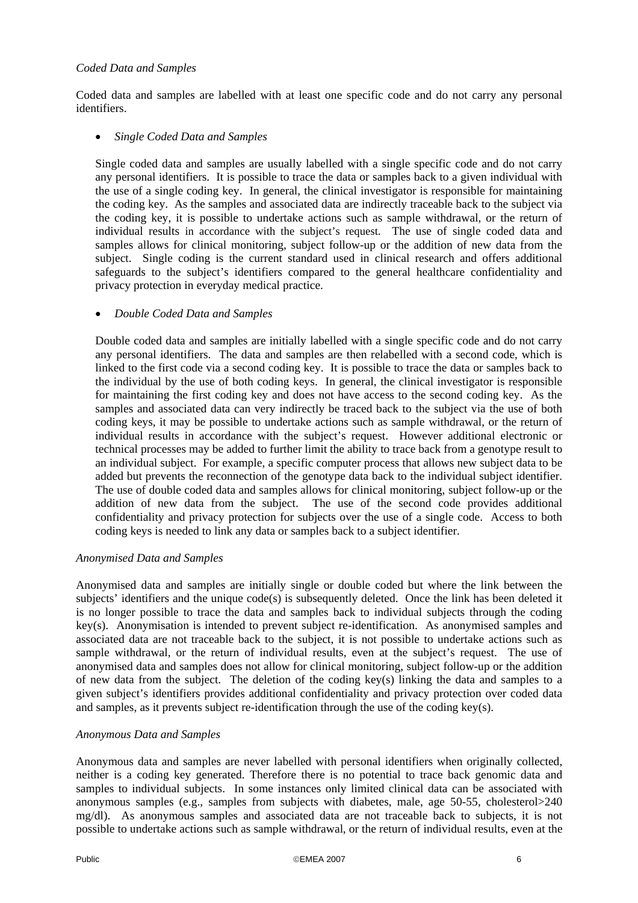## *Coded Data and Samples*

Coded data and samples are labelled with at least one specific code and do not carry any personal identifiers.

## • *Single Coded Data and Samples*

Single coded data and samples are usually labelled with a single specific code and do not carry any personal identifiers. It is possible to trace the data or samples back to a given individual with the use of a single coding key. In general, the clinical investigator is responsible for maintaining the coding key. As the samples and associated data are indirectly traceable back to the subject via the coding key, it is possible to undertake actions such as sample withdrawal, or the return of individual results in accordance with the subject's request. The use of single coded data and samples allows for clinical monitoring, subject follow-up or the addition of new data from the subject. Single coding is the current standard used in clinical research and offers additional safeguards to the subject's identifiers compared to the general healthcare confidentiality and privacy protection in everyday medical practice.

## • *Double Coded Data and Samples*

Double coded data and samples are initially labelled with a single specific code and do not carry any personal identifiers. The data and samples are then relabelled with a second code, which is linked to the first code via a second coding key. It is possible to trace the data or samples back to the individual by the use of both coding keys. In general, the clinical investigator is responsible for maintaining the first coding key and does not have access to the second coding key. As the samples and associated data can very indirectly be traced back to the subject via the use of both coding keys, it may be possible to undertake actions such as sample withdrawal, or the return of individual results in accordance with the subject's request. However additional electronic or technical processes may be added to further limit the ability to trace back from a genotype result to an individual subject. For example, a specific computer process that allows new subject data to be added but prevents the reconnection of the genotype data back to the individual subject identifier. The use of double coded data and samples allows for clinical monitoring, subject follow-up or the addition of new data from the subject. The use of the second code provides additional confidentiality and privacy protection for subjects over the use of a single code. Access to both coding keys is needed to link any data or samples back to a subject identifier.

#### *Anonymised Data and Samples*

Anonymised data and samples are initially single or double coded but where the link between the subjects' identifiers and the unique code(s) is subsequently deleted. Once the link has been deleted it is no longer possible to trace the data and samples back to individual subjects through the coding key(s). Anonymisation is intended to prevent subject re-identification. As anonymised samples and associated data are not traceable back to the subject, it is not possible to undertake actions such as sample withdrawal, or the return of individual results, even at the subject's request. The use of anonymised data and samples does not allow for clinical monitoring, subject follow-up or the addition of new data from the subject. The deletion of the coding key(s) linking the data and samples to a given subject's identifiers provides additional confidentiality and privacy protection over coded data and samples, as it prevents subject re-identification through the use of the coding key(s).

## *Anonymous Data and Samples*

Anonymous data and samples are never labelled with personal identifiers when originally collected, neither is a coding key generated. Therefore there is no potential to trace back genomic data and samples to individual subjects. In some instances only limited clinical data can be associated with anonymous samples (e.g., samples from subjects with diabetes, male, age 50-55, cholesterol>240 mg/dl). As anonymous samples and associated data are not traceable back to subjects, it is not possible to undertake actions such as sample withdrawal, or the return of individual results, even at the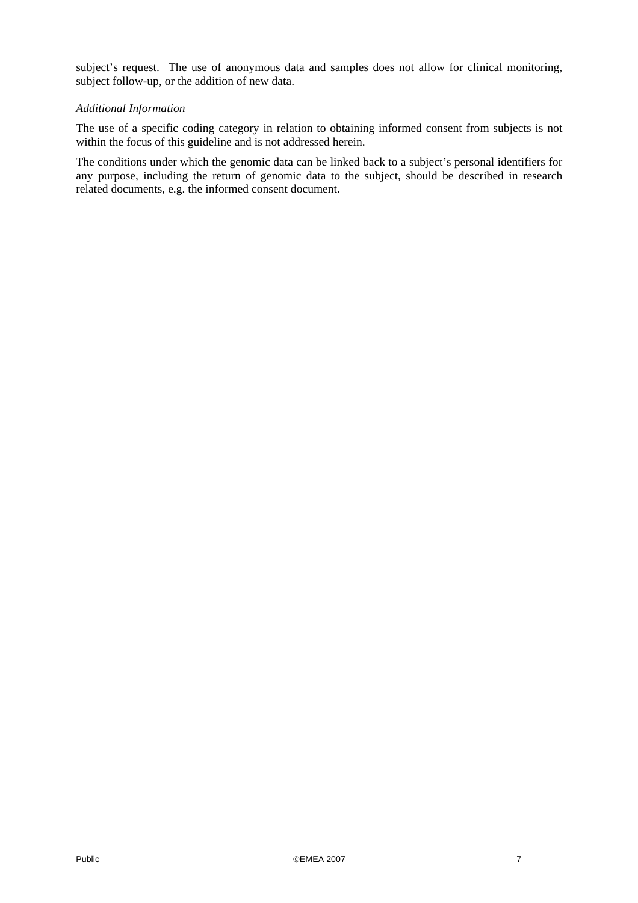subject's request. The use of anonymous data and samples does not allow for clinical monitoring, subject follow-up, or the addition of new data.

## *Additional Information*

The use of a specific coding category in relation to obtaining informed consent from subjects is not within the focus of this guideline and is not addressed herein.

The conditions under which the genomic data can be linked back to a subject's personal identifiers for any purpose, including the return of genomic data to the subject, should be described in research related documents, e.g. the informed consent document.